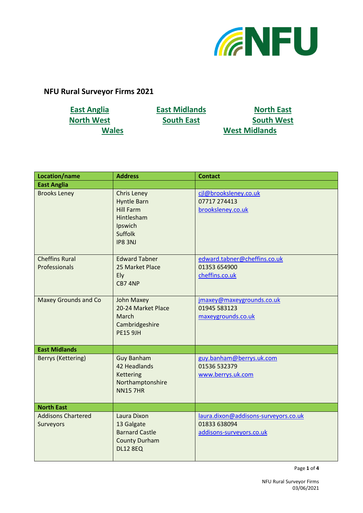

## **NFU Rural Surveyor Firms 2021**

**[East Anglia](#page-0-0) [East Midlands](#page-0-1) [North East](#page-0-2) [North West](#page-1-0) [South East](#page-1-1) [South West](#page-1-2) [Wales](#page-2-0) [West Midlands](#page-2-1)**

<span id="page-0-2"></span><span id="page-0-1"></span><span id="page-0-0"></span>

| Location/name                          | <b>Address</b>                                                                                             | <b>Contact</b>                                                                   |
|----------------------------------------|------------------------------------------------------------------------------------------------------------|----------------------------------------------------------------------------------|
| <b>East Anglia</b>                     |                                                                                                            |                                                                                  |
| <b>Brooks Leney</b>                    | <b>Chris Leney</b><br><b>Hyntle Barn</b><br><b>Hill Farm</b><br>Hintlesham<br>Ipswich<br>Suffolk<br>IP83NJ | cjl@brooksleney.co.uk<br>07717 274413<br>brooksleney.co.uk                       |
| <b>Cheffins Rural</b><br>Professionals | <b>Edward Tabner</b><br>25 Market Place<br>Ely<br>CB7 4NP                                                  | edward.tabner@cheffins.co.uk<br>01353 654900<br>cheffins.co.uk                   |
| <b>Maxey Grounds and Co</b>            | <b>John Maxey</b><br>20-24 Market Place<br>March<br>Cambridgeshire<br><b>PE15 9JH</b>                      | jmaxey@maxeygrounds.co.uk<br>01945 583123<br>maxeygrounds.co.uk                  |
| <b>East Midlands</b>                   |                                                                                                            |                                                                                  |
| <b>Berrys (Kettering)</b>              | <b>Guy Banham</b><br>42 Headlands<br><b>Kettering</b><br>Northamptonshire<br><b>NN15 7HR</b>               | guy.banham@berrys.uk.com<br>01536 532379<br>www.berrys.uk.com                    |
| <b>North East</b>                      |                                                                                                            |                                                                                  |
| <b>Addisons Chartered</b><br>Surveyors | Laura Dixon<br>13 Galgate<br><b>Barnard Castle</b><br><b>County Durham</b><br><b>DL12 8EQ</b>              | laura.dixon@addisons-surveyors.co.uk<br>01833 638094<br>addisons-surveyors.co.uk |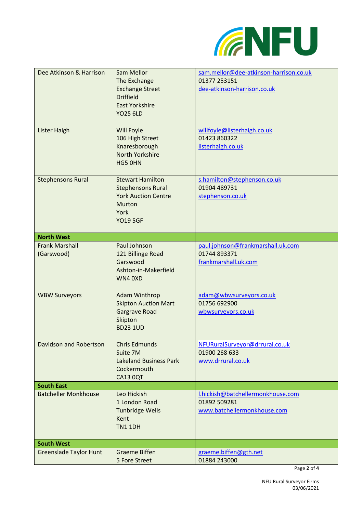

<span id="page-1-2"></span><span id="page-1-1"></span><span id="page-1-0"></span>

| Dee Atkinson & Harrison<br>Lister Haigh | Sam Mellor<br>The Exchange<br><b>Exchange Street</b><br><b>Driffield</b><br><b>East Yorkshire</b><br><b>YO25 6LD</b><br>Will Foyle | sam.mellor@dee-atkinson-harrison.co.uk<br>01377 253151<br>dee-atkinson-harrison.co.uk<br>willfoyle@listerhaigh.co.uk |
|-----------------------------------------|------------------------------------------------------------------------------------------------------------------------------------|----------------------------------------------------------------------------------------------------------------------|
|                                         | 106 High Street<br>Knaresborough<br>North Yorkshire<br>HG5 0HN                                                                     | 01423 860322<br>listerhaigh.co.uk                                                                                    |
| <b>Stephensons Rural</b>                | <b>Stewart Hamilton</b><br><b>Stephensons Rural</b><br><b>York Auction Centre</b><br>Murton<br>York<br><b>YO19 5GF</b>             | s.hamilton@stephenson.co.uk<br>01904 489731<br>stephenson.co.uk                                                      |
| <b>North West</b>                       |                                                                                                                                    |                                                                                                                      |
| <b>Frank Marshall</b><br>(Garswood)     | Paul Johnson<br>121 Billinge Road<br>Garswood<br>Ashton-in-Makerfield<br>WN4 0XD                                                   | paul.johnson@frankmarshall.uk.com<br>01744 893371<br>frankmarshall.uk.com                                            |
| <b>WBW Surveyors</b>                    | Adam Winthrop<br><b>Skipton Auction Mart</b><br><b>Gargrave Road</b><br>Skipton<br><b>BD23 1UD</b>                                 | adam@wbwsurveyors.co.uk<br>01756 692900<br>wbwsurveyors.co.uk                                                        |
| Davidson and Robertson                  | <b>Chris Edmunds</b><br>Suite 7M<br><b>Lakeland Business Park</b><br>Cockermouth<br><b>CA13 0QT</b>                                | NFURuralSurveyor@drrural.co.uk<br>01900 268 633<br>www.drrural.co.uk                                                 |
| <b>South East</b>                       |                                                                                                                                    |                                                                                                                      |
| <b>Batcheller Monkhouse</b>             | Leo Hickish<br>1 London Road<br><b>Tunbridge Wells</b><br>Kent<br><b>TN1 1DH</b>                                                   | I.hickish@batchellermonkhouse.com<br>01892 509281<br>www.batchellermonkhouse.com                                     |
| <b>South West</b>                       |                                                                                                                                    |                                                                                                                      |
| <b>Greenslade Taylor Hunt</b>           | <b>Graeme Biffen</b><br>5 Fore Street                                                                                              | graeme.biffen@gth.net<br>01884 243000                                                                                |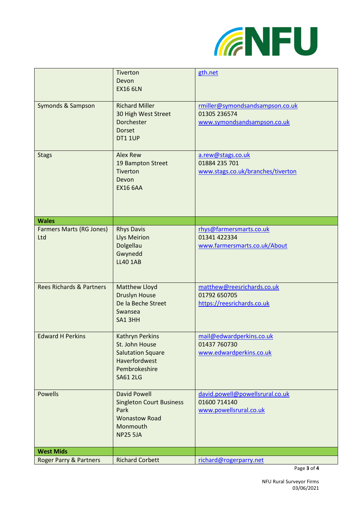

<span id="page-2-0"></span>

|                                        | Tiverton<br>Devon<br><b>EX16 6LN</b>                                                                                      | gth.net                                                                        |
|----------------------------------------|---------------------------------------------------------------------------------------------------------------------------|--------------------------------------------------------------------------------|
| Symonds & Sampson                      | <b>Richard Miller</b><br>30 High West Street<br>Dorchester<br><b>Dorset</b><br><b>DT1 1UP</b>                             | rmiller@symondsandsampson.co.uk<br>01305 236574<br>www.symondsandsampson.co.uk |
| <b>Stags</b>                           | <b>Alex Rew</b><br>19 Bampton Street<br>Tiverton<br>Devon<br><b>EX16 6AA</b>                                              | a.rew@stags.co.uk<br>01884 235 701<br>www.stags.co.uk/branches/tiverton        |
| <b>Wales</b>                           |                                                                                                                           |                                                                                |
| <b>Farmers Marts (RG Jones)</b><br>Ltd | <b>Rhys Davis</b><br><b>Llys Meirion</b><br>Dolgellau<br>Gwynedd<br><b>LL40 1AB</b>                                       | rhys@farmersmarts.co.uk<br>01341 422334<br>www.farmersmarts.co.uk/About        |
| <b>Rees Richards &amp; Partners</b>    | <b>Matthew Lloyd</b><br><b>Druslyn House</b><br>De la Beche Street<br>Swansea<br>SA1 3HH                                  | matthew@reesrichards.co.uk<br>01792 650705<br>https://reesrichards.co.uk       |
| <b>Edward H Perkins</b>                | <b>Kathryn Perkins</b><br>St. John House<br><b>Salutation Square</b><br>Haverfordwest<br>Pembrokeshire<br><b>SA61 2LG</b> | mail@edwardperkins.co.uk<br>01437 760730<br>www.edwardperkins.co.uk            |
| <b>Powells</b>                         | <b>David Powell</b><br><b>Singleton Court Business</b><br>Park<br><b>Wonastow Road</b><br>Monmouth<br><b>NP25 5JA</b>     | david.powell@powellsrural.co.uk<br>01600 714140<br>www.powellsrural.co.uk      |
| <b>West Mids</b>                       |                                                                                                                           |                                                                                |
| Roger Parry & Partners                 | <b>Richard Corbett</b>                                                                                                    | richard@rogerparry.net                                                         |

<span id="page-2-1"></span>Page **3** of **4**